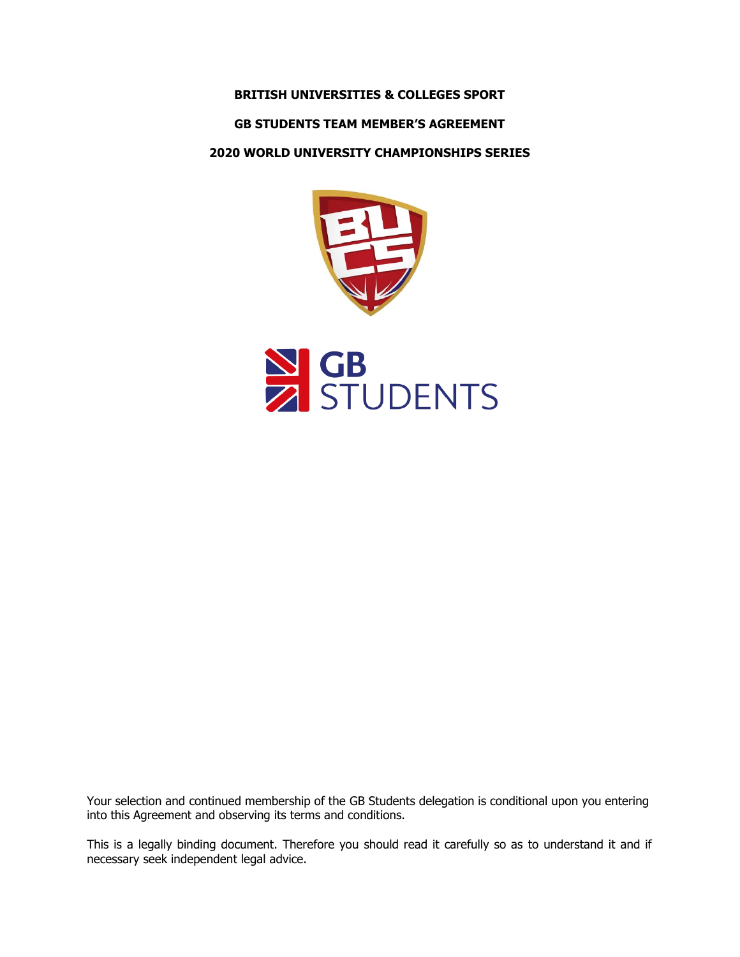# **BRITISH UNIVERSITIES & COLLEGES SPORT**

# **GB STUDENTS TEAM MEMBER'S AGREEMENT**

# **2020 WORLD UNIVERSITY CHAMPIONSHIPS SERIES**



Your selection and continued membership of the GB Students delegation is conditional upon you entering into this Agreement and observing its terms and conditions.

This is a legally binding document. Therefore you should read it carefully so as to understand it and if necessary seek independent legal advice.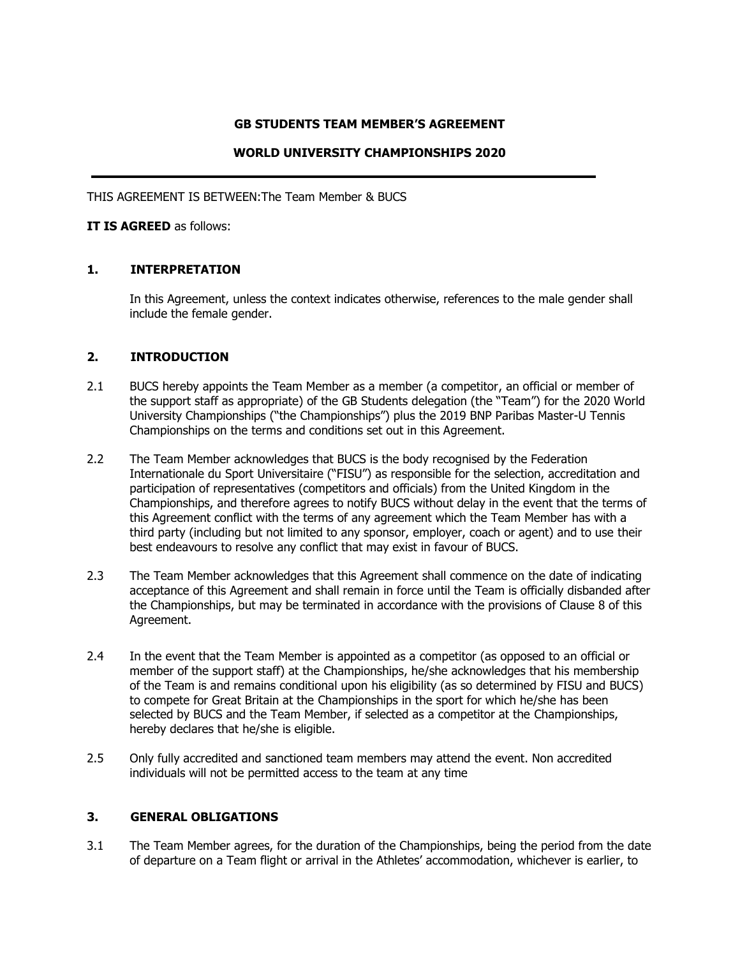# **GB STUDENTS TEAM MEMBER'S AGREEMENT**

# **WORLD UNIVERSITY CHAMPIONSHIPS 2020**

THIS AGREEMENT IS BETWEEN:The Team Member & BUCS

### **IT IS AGREED** as follows:

# **1. INTERPRETATION**

In this Agreement, unless the context indicates otherwise, references to the male gender shall include the female gender.

#### **2. INTRODUCTION**

- 2.1 BUCS hereby appoints the Team Member as a member (a competitor, an official or member of the support staff as appropriate) of the GB Students delegation (the "Team") for the 2020 World University Championships ("the Championships") plus the 2019 BNP Paribas Master-U Tennis Championships on the terms and conditions set out in this Agreement.
- 2.2 The Team Member acknowledges that BUCS is the body recognised by the Federation Internationale du Sport Universitaire ("FISU") as responsible for the selection, accreditation and participation of representatives (competitors and officials) from the United Kingdom in the Championships, and therefore agrees to notify BUCS without delay in the event that the terms of this Agreement conflict with the terms of any agreement which the Team Member has with a third party (including but not limited to any sponsor, employer, coach or agent) and to use their best endeavours to resolve any conflict that may exist in favour of BUCS.
- 2.3 The Team Member acknowledges that this Agreement shall commence on the date of indicating acceptance of this Agreement and shall remain in force until the Team is officially disbanded after the Championships, but may be terminated in accordance with the provisions of Clause 8 of this Agreement.
- 2.4 In the event that the Team Member is appointed as a competitor (as opposed to an official or member of the support staff) at the Championships, he/she acknowledges that his membership of the Team is and remains conditional upon his eligibility (as so determined by FISU and BUCS) to compete for Great Britain at the Championships in the sport for which he/she has been selected by BUCS and the Team Member, if selected as a competitor at the Championships, hereby declares that he/she is eligible.
- 2.5 Only fully accredited and sanctioned team members may attend the event. Non accredited individuals will not be permitted access to the team at any time

# **3. GENERAL OBLIGATIONS**

3.1 The Team Member agrees, for the duration of the Championships, being the period from the date of departure on a Team flight or arrival in the Athletes' accommodation, whichever is earlier, to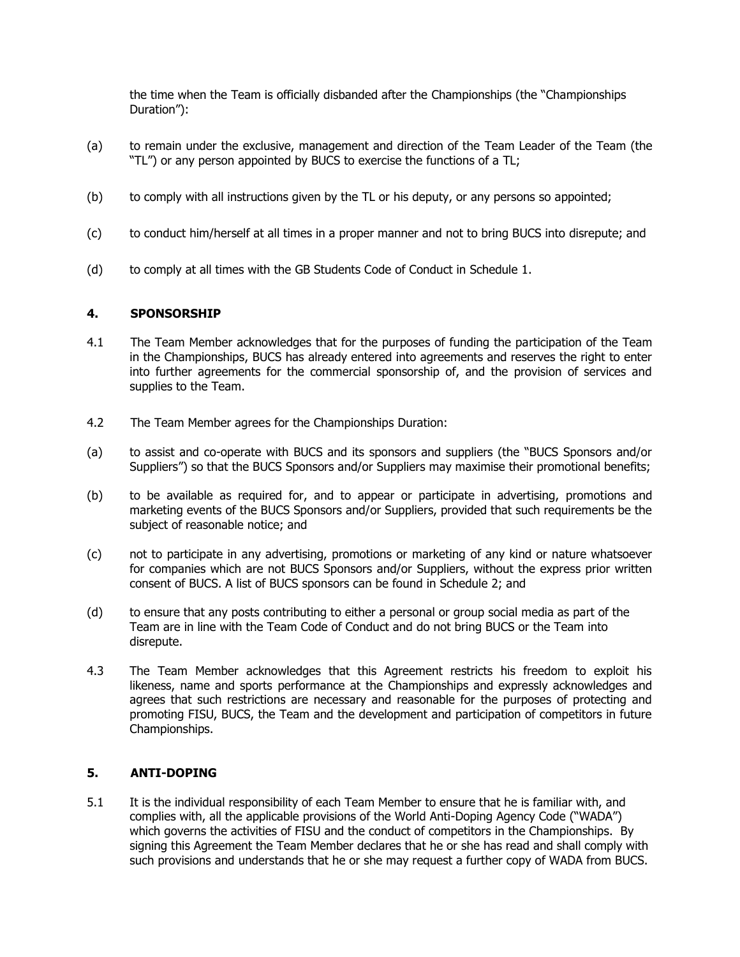the time when the Team is officially disbanded after the Championships (the "Championships Duration"):

- (a) to remain under the exclusive, management and direction of the Team Leader of the Team (the "TL") or any person appointed by BUCS to exercise the functions of a TL;
- (b) to comply with all instructions given by the TL or his deputy, or any persons so appointed;
- (c) to conduct him/herself at all times in a proper manner and not to bring BUCS into disrepute; and
- (d) to comply at all times with the GB Students Code of Conduct in Schedule 1.

# **4. SPONSORSHIP**

- 4.1 The Team Member acknowledges that for the purposes of funding the participation of the Team in the Championships, BUCS has already entered into agreements and reserves the right to enter into further agreements for the commercial sponsorship of, and the provision of services and supplies to the Team.
- 4.2 The Team Member agrees for the Championships Duration:
- (a) to assist and co-operate with BUCS and its sponsors and suppliers (the "BUCS Sponsors and/or Suppliers") so that the BUCS Sponsors and/or Suppliers may maximise their promotional benefits;
- (b) to be available as required for, and to appear or participate in advertising, promotions and marketing events of the BUCS Sponsors and/or Suppliers, provided that such requirements be the subject of reasonable notice; and
- (c) not to participate in any advertising, promotions or marketing of any kind or nature whatsoever for companies which are not BUCS Sponsors and/or Suppliers, without the express prior written consent of BUCS. A list of BUCS sponsors can be found in Schedule 2; and
- (d) to ensure that any posts contributing to either a personal or group social media as part of the Team are in line with the Team Code of Conduct and do not bring BUCS or the Team into disrepute.
- 4.3 The Team Member acknowledges that this Agreement restricts his freedom to exploit his likeness, name and sports performance at the Championships and expressly acknowledges and agrees that such restrictions are necessary and reasonable for the purposes of protecting and promoting FISU, BUCS, the Team and the development and participation of competitors in future Championships.

# **5. ANTI-DOPING**

5.1 It is the individual responsibility of each Team Member to ensure that he is familiar with, and complies with, all the applicable provisions of the World Anti-Doping Agency Code ("WADA") which governs the activities of FISU and the conduct of competitors in the Championships. By signing this Agreement the Team Member declares that he or she has read and shall comply with such provisions and understands that he or she may request a further copy of WADA from BUCS.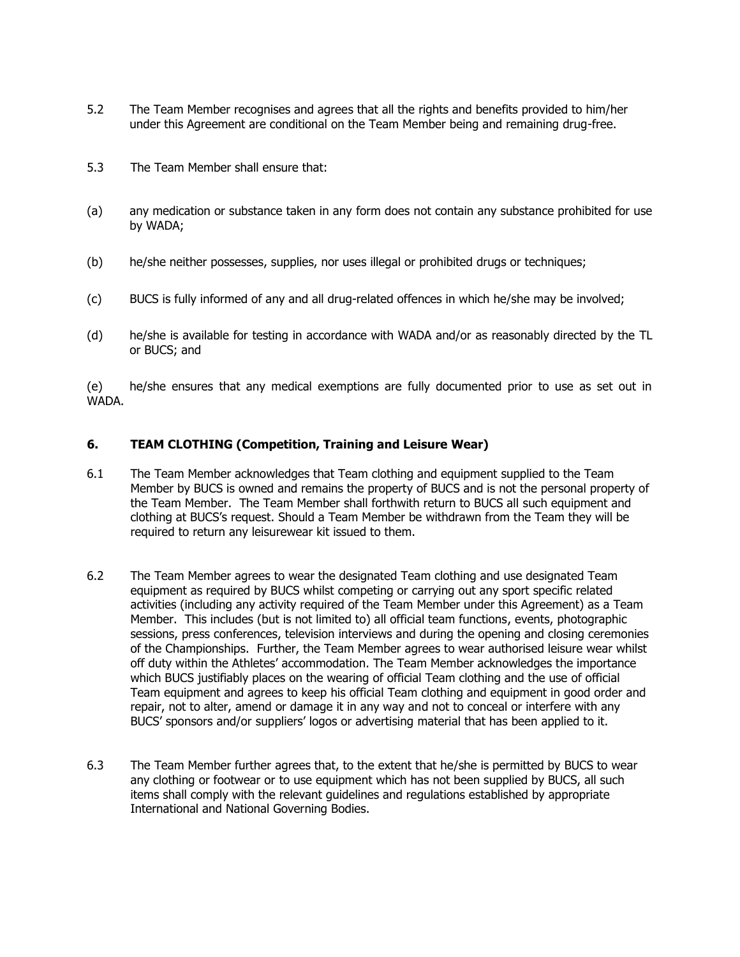- 5.2 The Team Member recognises and agrees that all the rights and benefits provided to him/her under this Agreement are conditional on the Team Member being and remaining drug-free.
- 5.3 The Team Member shall ensure that:
- (a) any medication or substance taken in any form does not contain any substance prohibited for use by WADA;
- (b) he/she neither possesses, supplies, nor uses illegal or prohibited drugs or techniques;
- (c) BUCS is fully informed of any and all drug-related offences in which he/she may be involved;
- (d) he/she is available for testing in accordance with WADA and/or as reasonably directed by the TL or BUCS; and

(e) he/she ensures that any medical exemptions are fully documented prior to use as set out in WADA.

#### **6. TEAM CLOTHING (Competition, Training and Leisure Wear)**

- 6.1 The Team Member acknowledges that Team clothing and equipment supplied to the Team Member by BUCS is owned and remains the property of BUCS and is not the personal property of the Team Member. The Team Member shall forthwith return to BUCS all such equipment and clothing at BUCS's request. Should a Team Member be withdrawn from the Team they will be required to return any leisurewear kit issued to them.
- 6.2 The Team Member agrees to wear the designated Team clothing and use designated Team equipment as required by BUCS whilst competing or carrying out any sport specific related activities (including any activity required of the Team Member under this Agreement) as a Team Member. This includes (but is not limited to) all official team functions, events, photographic sessions, press conferences, television interviews and during the opening and closing ceremonies of the Championships. Further, the Team Member agrees to wear authorised leisure wear whilst off duty within the Athletes' accommodation. The Team Member acknowledges the importance which BUCS justifiably places on the wearing of official Team clothing and the use of official Team equipment and agrees to keep his official Team clothing and equipment in good order and repair, not to alter, amend or damage it in any way and not to conceal or interfere with any BUCS' sponsors and/or suppliers' logos or advertising material that has been applied to it.
- 6.3 The Team Member further agrees that, to the extent that he/she is permitted by BUCS to wear any clothing or footwear or to use equipment which has not been supplied by BUCS, all such items shall comply with the relevant guidelines and regulations established by appropriate International and National Governing Bodies.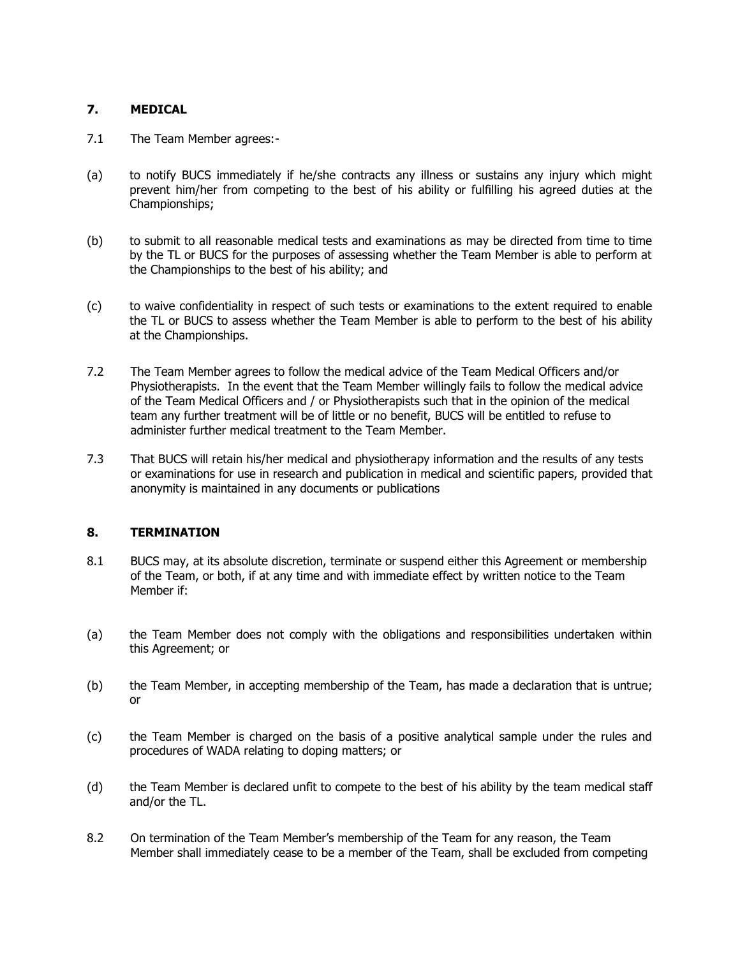# **7. MEDICAL**

- 7.1 The Team Member agrees:-
- (a) to notify BUCS immediately if he/she contracts any illness or sustains any injury which might prevent him/her from competing to the best of his ability or fulfilling his agreed duties at the Championships;
- (b) to submit to all reasonable medical tests and examinations as may be directed from time to time by the TL or BUCS for the purposes of assessing whether the Team Member is able to perform at the Championships to the best of his ability; and
- (c) to waive confidentiality in respect of such tests or examinations to the extent required to enable the TL or BUCS to assess whether the Team Member is able to perform to the best of his ability at the Championships.
- 7.2 The Team Member agrees to follow the medical advice of the Team Medical Officers and/or Physiotherapists. In the event that the Team Member willingly fails to follow the medical advice of the Team Medical Officers and / or Physiotherapists such that in the opinion of the medical team any further treatment will be of little or no benefit, BUCS will be entitled to refuse to administer further medical treatment to the Team Member.
- 7.3 That BUCS will retain his/her medical and physiotherapy information and the results of any tests or examinations for use in research and publication in medical and scientific papers, provided that anonymity is maintained in any documents or publications

# **8. TERMINATION**

- 8.1 BUCS may, at its absolute discretion, terminate or suspend either this Agreement or membership of the Team, or both, if at any time and with immediate effect by written notice to the Team Member if:
- (a) the Team Member does not comply with the obligations and responsibilities undertaken within this Agreement; or
- (b) the Team Member, in accepting membership of the Team, has made a declaration that is untrue; or
- (c) the Team Member is charged on the basis of a positive analytical sample under the rules and procedures of WADA relating to doping matters; or
- (d) the Team Member is declared unfit to compete to the best of his ability by the team medical staff and/or the TL.
- 8.2 On termination of the Team Member's membership of the Team for any reason, the Team Member shall immediately cease to be a member of the Team, shall be excluded from competing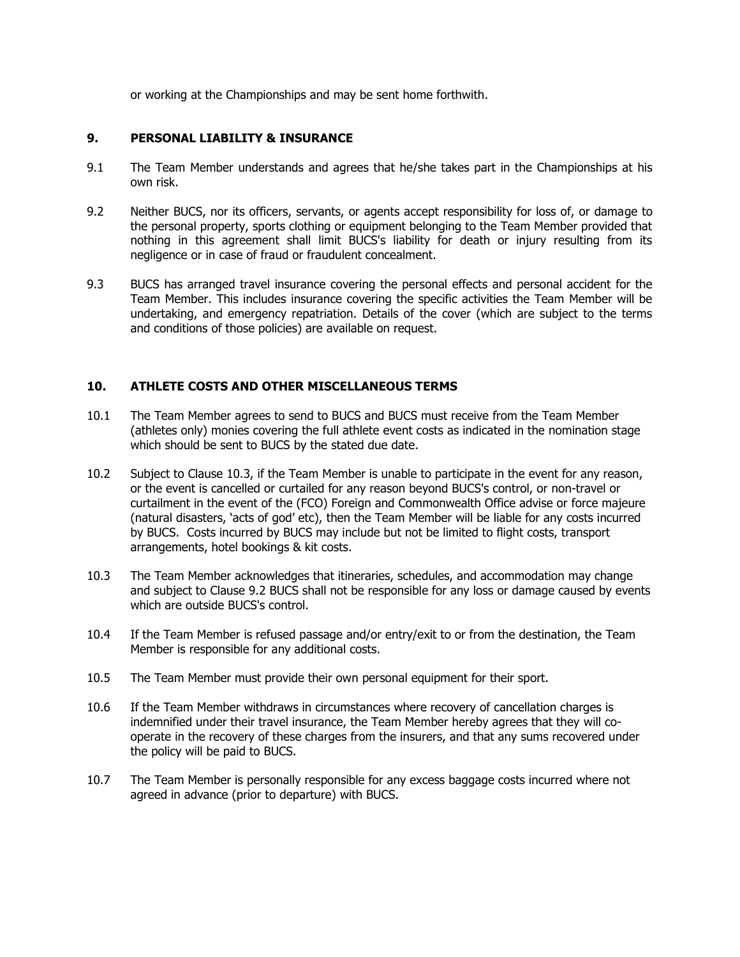or working at the Championships and may be sent home forthwith.

# **9. PERSONAL LIABILITY & INSURANCE**

- 9.1 The Team Member understands and agrees that he/she takes part in the Championships at his own risk.
- 9.2 Neither BUCS, nor its officers, servants, or agents accept responsibility for loss of, or damage to the personal property, sports clothing or equipment belonging to the Team Member provided that nothing in this agreement shall limit BUCS's liability for death or injury resulting from its negligence or in case of fraud or fraudulent concealment.
- 9.3 BUCS has arranged travel insurance covering the personal effects and personal accident for the Team Member. This includes insurance covering the specific activities the Team Member will be undertaking, and emergency repatriation. Details of the cover (which are subject to the terms and conditions of those policies) are available on request.

# **10. ATHLETE COSTS AND OTHER MISCELLANEOUS TERMS**

- 10.1 The Team Member agrees to send to BUCS and BUCS must receive from the Team Member (athletes only) monies covering the full athlete event costs as indicated in the nomination stage which should be sent to BUCS by the stated due date.
- 10.2 Subject to Clause 10.3, if the Team Member is unable to participate in the event for any reason, or the event is cancelled or curtailed for any reason beyond BUCS's control, or non-travel or curtailment in the event of the (FCO) Foreign and Commonwealth Office advise or force majeure (natural disasters, 'acts of god' etc), then the Team Member will be liable for any costs incurred by BUCS. Costs incurred by BUCS may include but not be limited to flight costs, transport arrangements, hotel bookings & kit costs.
- 10.3 The Team Member acknowledges that itineraries, schedules, and accommodation may change and subject to Clause 9.2 BUCS shall not be responsible for any loss or damage caused by events which are outside BUCS's control.
- 10.4 If the Team Member is refused passage and/or entry/exit to or from the destination, the Team Member is responsible for any additional costs.
- 10.5 The Team Member must provide their own personal equipment for their sport.
- 10.6 If the Team Member withdraws in circumstances where recovery of cancellation charges is indemnified under their travel insurance, the Team Member hereby agrees that they will cooperate in the recovery of these charges from the insurers, and that any sums recovered under the policy will be paid to BUCS.
- 10.7 The Team Member is personally responsible for any excess baggage costs incurred where not agreed in advance (prior to departure) with BUCS.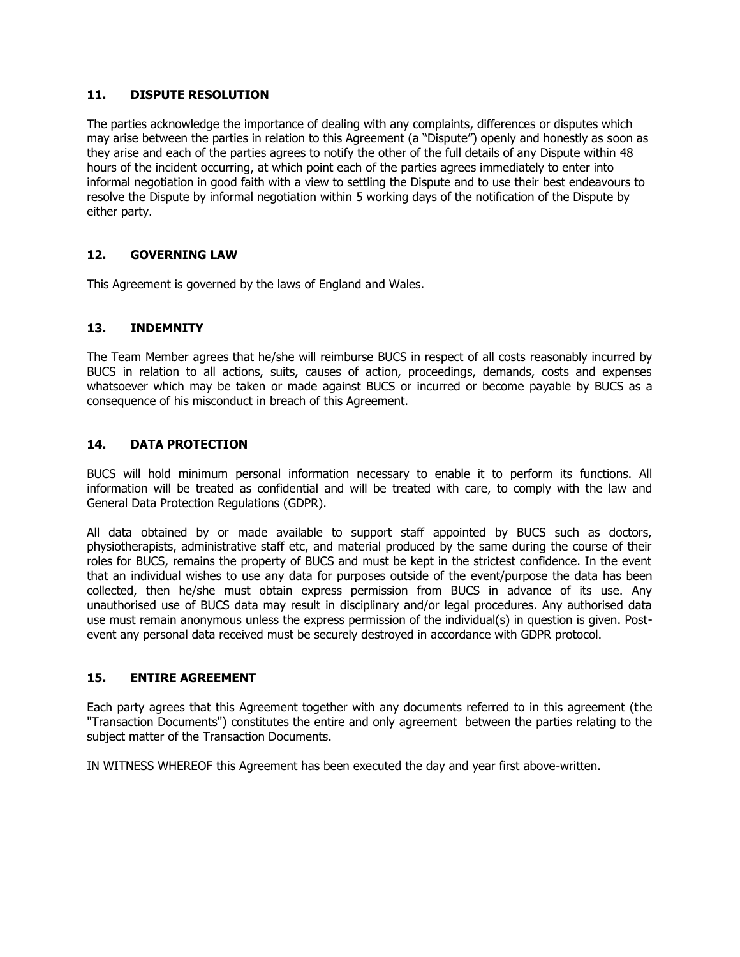### **11. DISPUTE RESOLUTION**

The parties acknowledge the importance of dealing with any complaints, differences or disputes which may arise between the parties in relation to this Agreement (a "Dispute") openly and honestly as soon as they arise and each of the parties agrees to notify the other of the full details of any Dispute within 48 hours of the incident occurring, at which point each of the parties agrees immediately to enter into informal negotiation in good faith with a view to settling the Dispute and to use their best endeavours to resolve the Dispute by informal negotiation within 5 working days of the notification of the Dispute by either party.

# **12. GOVERNING LAW**

This Agreement is governed by the laws of England and Wales.

# **13. INDEMNITY**

The Team Member agrees that he/she will reimburse BUCS in respect of all costs reasonably incurred by BUCS in relation to all actions, suits, causes of action, proceedings, demands, costs and expenses whatsoever which may be taken or made against BUCS or incurred or become payable by BUCS as a consequence of his misconduct in breach of this Agreement.

# **14. DATA PROTECTION**

BUCS will hold minimum personal information necessary to enable it to perform its functions. All information will be treated as confidential and will be treated with care, to comply with the law and General Data Protection Regulations (GDPR).

All data obtained by or made available to support staff appointed by BUCS such as doctors, physiotherapists, administrative staff etc, and material produced by the same during the course of their roles for BUCS, remains the property of BUCS and must be kept in the strictest confidence. In the event that an individual wishes to use any data for purposes outside of the event/purpose the data has been collected, then he/she must obtain express permission from BUCS in advance of its use. Any unauthorised use of BUCS data may result in disciplinary and/or legal procedures. Any authorised data use must remain anonymous unless the express permission of the individual(s) in question is given. Postevent any personal data received must be securely destroyed in accordance with GDPR protocol.

# **15. ENTIRE AGREEMENT**

Each party agrees that this Agreement together with any documents referred to in this agreement (the "Transaction Documents") constitutes the entire and only agreement between the parties relating to the subject matter of the Transaction Documents.

IN WITNESS WHEREOF this Agreement has been executed the day and year first above-written.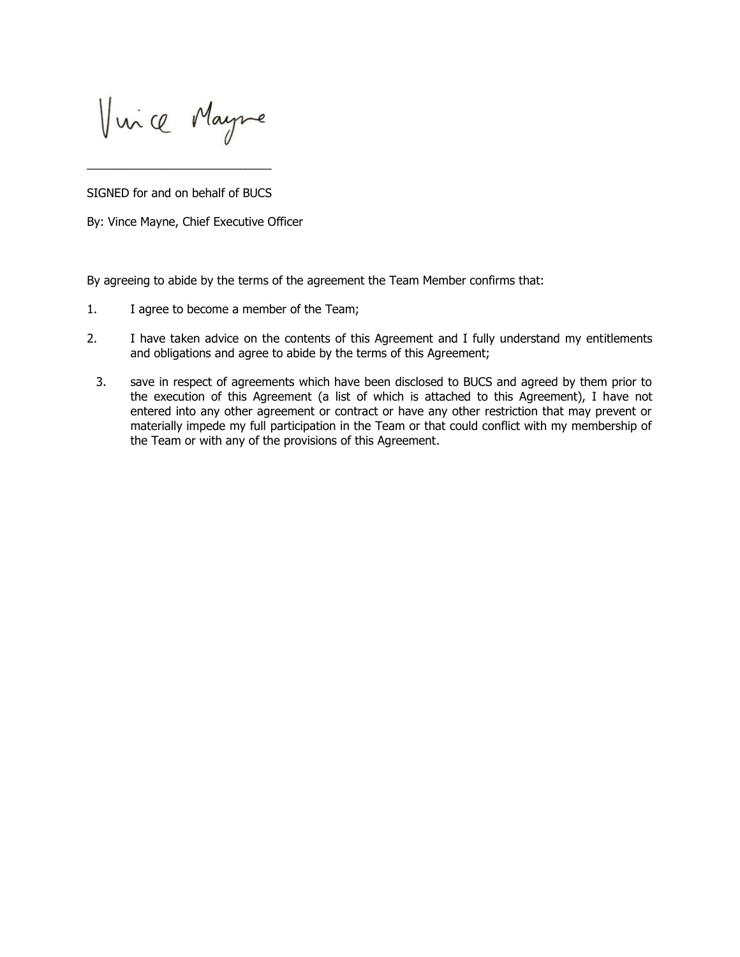Vince Mayne

SIGNED for and on behalf of BUCS

\_\_\_\_\_\_\_\_\_\_\_\_\_\_\_\_\_\_\_\_\_\_\_\_\_\_\_\_

By: Vince Mayne, Chief Executive Officer

By agreeing to abide by the terms of the agreement the Team Member confirms that:

- 1. I agree to become a member of the Team;
- 2. I have taken advice on the contents of this Agreement and I fully understand my entitlements and obligations and agree to abide by the terms of this Agreement;
	- 3. save in respect of agreements which have been disclosed to BUCS and agreed by them prior to the execution of this Agreement (a list of which is attached to this Agreement), I have not entered into any other agreement or contract or have any other restriction that may prevent or materially impede my full participation in the Team or that could conflict with my membership of the Team or with any of the provisions of this Agreement.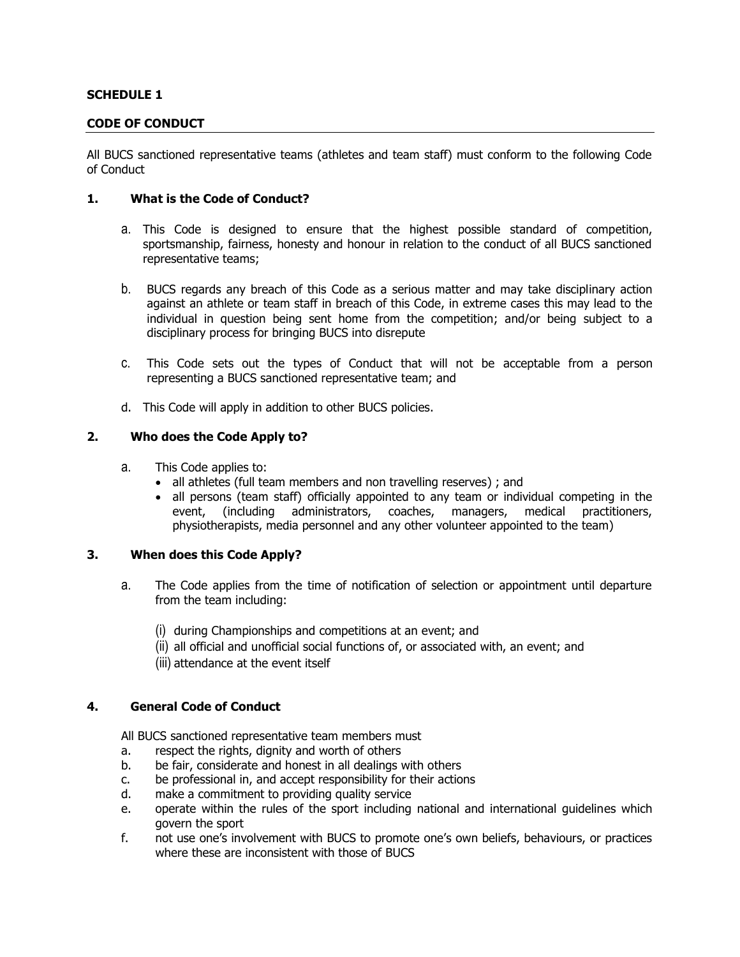# **SCHEDULE 1**

#### **CODE OF CONDUCT**

All BUCS sanctioned representative teams (athletes and team staff) must conform to the following Code of Conduct

#### **1. What is the Code of Conduct?**

- a. This Code is designed to ensure that the highest possible standard of competition, sportsmanship, fairness, honesty and honour in relation to the conduct of all BUCS sanctioned representative teams;
- b. BUCS regards any breach of this Code as a serious matter and may take disciplinary action against an athlete or team staff in breach of this Code, in extreme cases this may lead to the individual in question being sent home from the competition; and/or being subject to a disciplinary process for bringing BUCS into disrepute
- c. This Code sets out the types of Conduct that will not be acceptable from a person representing a BUCS sanctioned representative team; and
- d. This Code will apply in addition to other BUCS policies.

#### **2. Who does the Code Apply to?**

- a. This Code applies to:
	- all athletes (full team members and non travelling reserves); and
	- all persons (team staff) officially appointed to any team or individual competing in the event, (including administrators, coaches, managers, medical practitioners, physiotherapists, media personnel and any other volunteer appointed to the team)

### **3. When does this Code Apply?**

- a. The Code applies from the time of notification of selection or appointment until departure from the team including:
	- (i) during Championships and competitions at an event; and
	- (ii) all official and unofficial social functions of, or associated with, an event; and
	- (iii) attendance at the event itself

# **4. General Code of Conduct**

All BUCS sanctioned representative team members must

- a. respect the rights, dignity and worth of others
- b. be fair, considerate and honest in all dealings with others
- c. be professional in, and accept responsibility for their actions
- d. make a commitment to providing quality service
- e. operate within the rules of the sport including national and international guidelines which govern the sport
- f. not use one's involvement with BUCS to promote one's own beliefs, behaviours, or practices where these are inconsistent with those of BUCS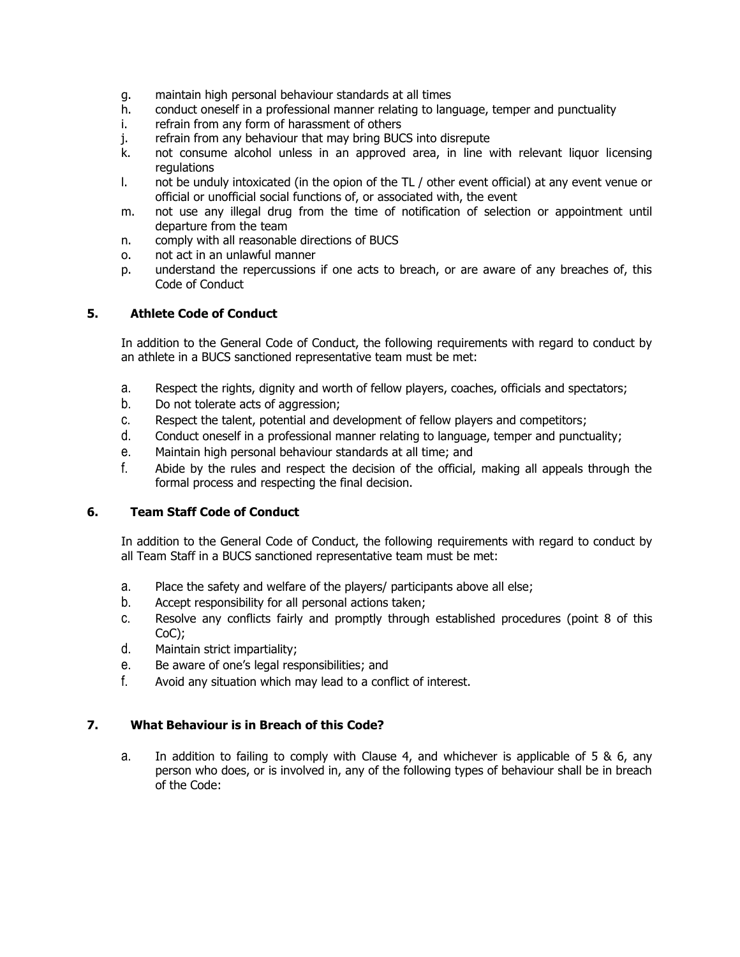- g. maintain high personal behaviour standards at all times
- h. conduct oneself in a professional manner relating to language, temper and punctuality
- i. refrain from any form of harassment of others
- j. refrain from any behaviour that may bring BUCS into disrepute
- k. not consume alcohol unless in an approved area, in line with relevant liquor licensing regulations
- l. not be unduly intoxicated (in the opion of the TL / other event official) at any event venue or official or unofficial social functions of, or associated with, the event
- m. not use any illegal drug from the time of notification of selection or appointment until departure from the team
- n. comply with all reasonable directions of BUCS
- o. not act in an unlawful manner
- p. understand the repercussions if one acts to breach, or are aware of any breaches of, this Code of Conduct

# **5. Athlete Code of Conduct**

In addition to the General Code of Conduct, the following requirements with regard to conduct by an athlete in a BUCS sanctioned representative team must be met:

- a. Respect the rights, dignity and worth of fellow players, coaches, officials and spectators;
- b. Do not tolerate acts of aggression;
- c. Respect the talent, potential and development of fellow players and competitors;
- d. Conduct oneself in a professional manner relating to language, temper and punctuality;
- e. Maintain high personal behaviour standards at all time; and
- f. Abide by the rules and respect the decision of the official, making all appeals through the formal process and respecting the final decision.

# **6. Team Staff Code of Conduct**

In addition to the General Code of Conduct, the following requirements with regard to conduct by all Team Staff in a BUCS sanctioned representative team must be met:

- a. Place the safety and welfare of the players/ participants above all else;
- b. Accept responsibility for all personal actions taken;
- c. Resolve any conflicts fairly and promptly through established procedures (point 8 of this CoC);
- d. Maintain strict impartiality;
- e. Be aware of one's legal responsibilities; and
- f. Avoid any situation which may lead to a conflict of interest.

# **7. What Behaviour is in Breach of this Code?**

a. In addition to failing to comply with Clause 4, and whichever is applicable of 5 & 6, any person who does, or is involved in, any of the following types of behaviour shall be in breach of the Code: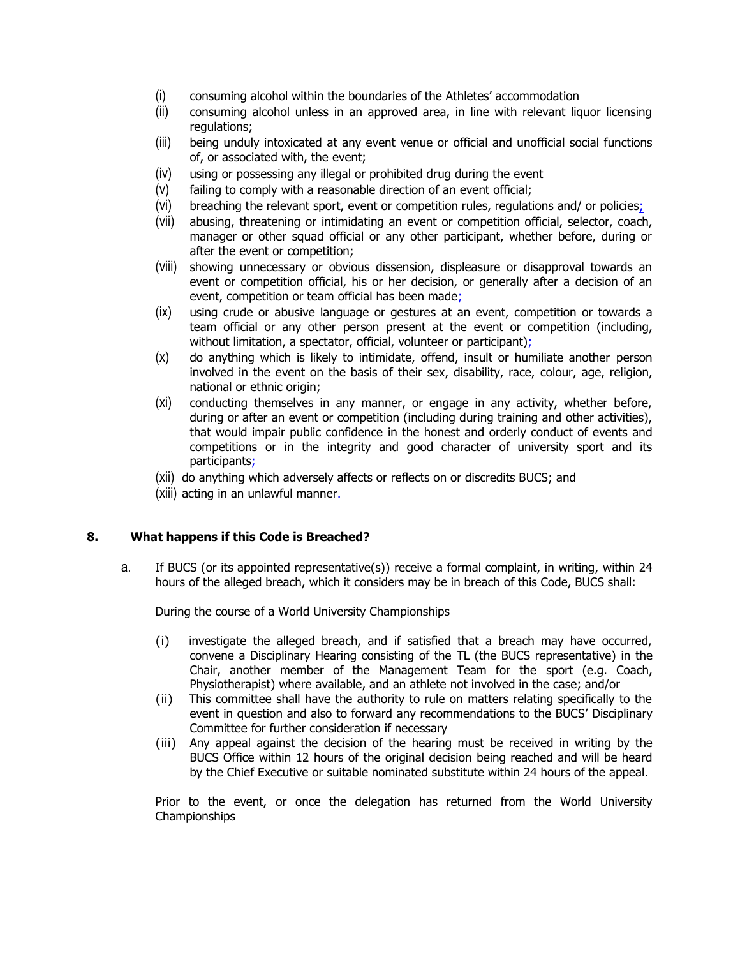- (i) consuming alcohol within the boundaries of the Athletes' accommodation
- (ii) consuming alcohol unless in an approved area, in line with relevant liquor licensing regulations;
- (iii) being unduly intoxicated at any event venue or official and unofficial social functions of, or associated with, the event;
- (iv) using or possessing any illegal or prohibited drug during the event
- (v) failing to comply with a reasonable direction of an event official;
- (vi) breaching the relevant sport, event or competition rules, regulations and/ or policies;
- (vii) abusing, threatening or intimidating an event or competition official, selector, coach, manager or other squad official or any other participant, whether before, during or after the event or competition;
- (viii) showing unnecessary or obvious dissension, displeasure or disapproval towards an event or competition official, his or her decision, or generally after a decision of an event, competition or team official has been made;
- (ix) using crude or abusive language or gestures at an event, competition or towards a team official or any other person present at the event or competition (including, without limitation, a spectator, official, volunteer or participant);
- (x) do anything which is likely to intimidate, offend, insult or humiliate another person involved in the event on the basis of their sex, disability, race, colour, age, religion, national or ethnic origin;
- (xi) conducting themselves in any manner, or engage in any activity, whether before, during or after an event or competition (including during training and other activities), that would impair public confidence in the honest and orderly conduct of events and competitions or in the integrity and good character of university sport and its participants;
- (xii) do anything which adversely affects or reflects on or discredits BUCS; and
- (xiii) acting in an unlawful manner.

# **8. What happens if this Code is Breached?**

a. If BUCS (or its appointed representative(s)) receive a formal complaint, in writing, within 24 hours of the alleged breach, which it considers may be in breach of this Code, BUCS shall:

During the course of a World University Championships

- (i) investigate the alleged breach, and if satisfied that a breach may have occurred, convene a Disciplinary Hearing consisting of the TL (the BUCS representative) in the Chair, another member of the Management Team for the sport (e.g. Coach, Physiotherapist) where available, and an athlete not involved in the case; and/or
- (ii) This committee shall have the authority to rule on matters relating specifically to the event in question and also to forward any recommendations to the BUCS' Disciplinary Committee for further consideration if necessary
- (iii) Any appeal against the decision of the hearing must be received in writing by the BUCS Office within 12 hours of the original decision being reached and will be heard by the Chief Executive or suitable nominated substitute within 24 hours of the appeal.

Prior to the event, or once the delegation has returned from the World University Championships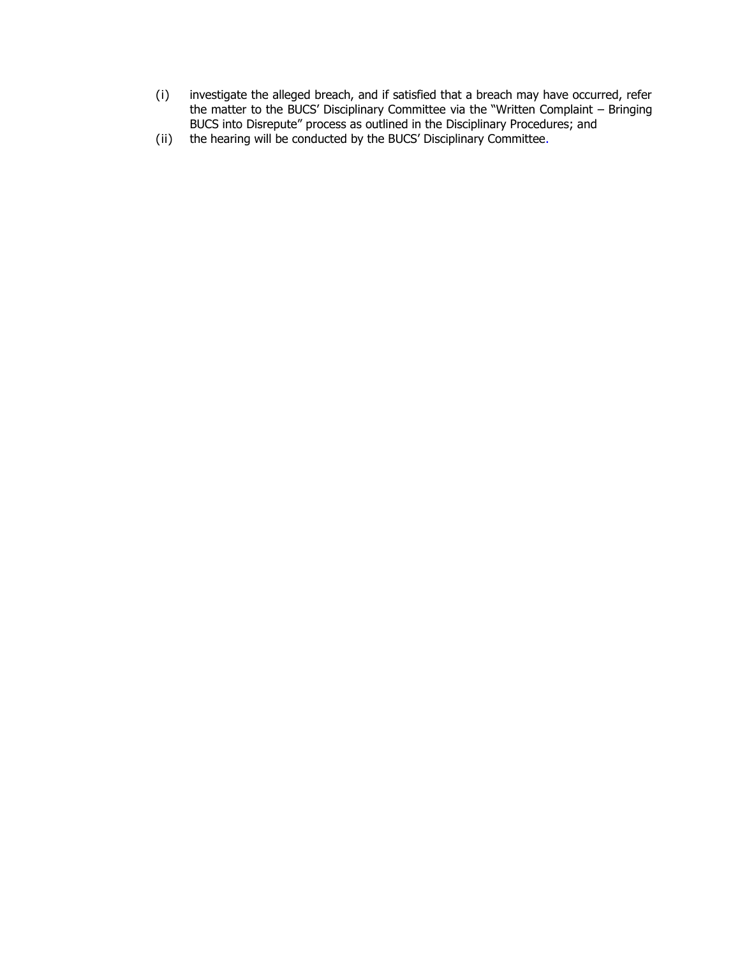- (i) investigate the alleged breach, and if satisfied that a breach may have occurred, refer the matter to the BUCS' Disciplinary Committee via the "Written Complaint – Bringing BUCS into Disrepute" process as outlined in the Disciplinary Procedures; and
- (ii) the hearing will be conducted by the BUCS' Disciplinary Committee.